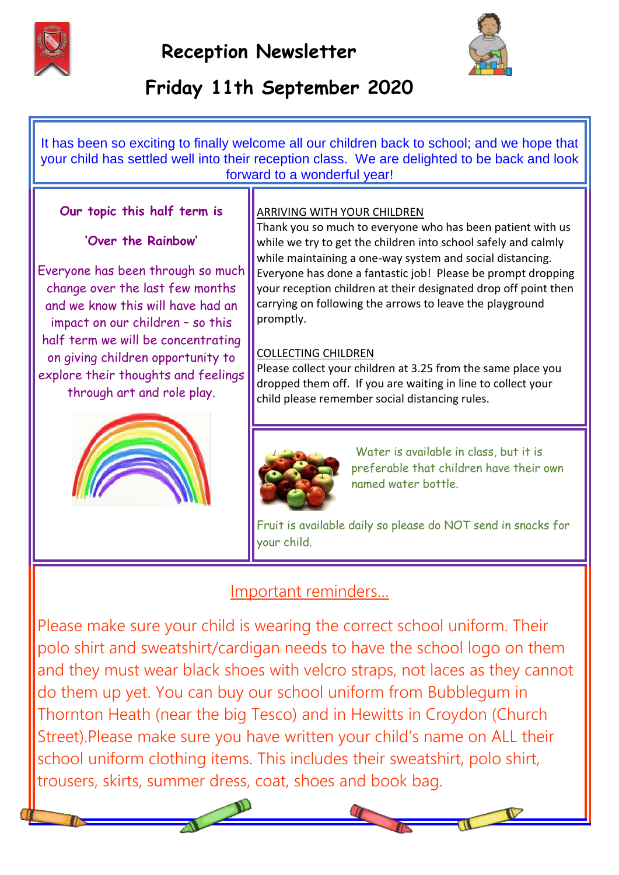



# **Friday 11th September 2020**

It has been so exciting to finally welcome all our children back to school; and we hope that your child has settled well into their reception class. We are delighted to be back and look forward to a wonderful year!

### **Our topic this half term is**

#### **'Over the Rainbow'**

Everyone has been through so much change over the last few months and we know this will have had an impact on our children – so this half term we will be concentrating on giving children opportunity to explore their thoughts and feelings through art and role play.



#### ARRIVING WITH YOUR CHILDREN

Thank you so much to everyone who has been patient with us while we try to get the children into school safely and calmly while maintaining a one-way system and social distancing. Everyone has done a fantastic job! Please be prompt dropping your reception children at their designated drop off point then carrying on following the arrows to leave the playground promptly.

#### COLLECTING CHILDREN

Please collect your children at 3.25 from the same place you dropped them off. If you are waiting in line to collect your child please remember social distancing rules.



Water is available in class, but it is preferable that children have their own named water bottle.

Fruit is available daily so please do NOT send in snacks for your child.

## Important reminders…

Please make sure your child is wearing the correct school uniform. Their polo shirt and sweatshirt/cardigan needs to have the school logo on them and they must wear black shoes with velcro straps, not laces as they cannot do them up yet. You can buy our school uniform from Bubblegum in Thornton Heath (near the big Tesco) and in Hewitts in Croydon (Church Street).Please make sure you have written your child's name on ALL their school uniform clothing items. This includes their sweatshirt, polo shirt, trousers, skirts, summer dress, coat, shoes and book bag.